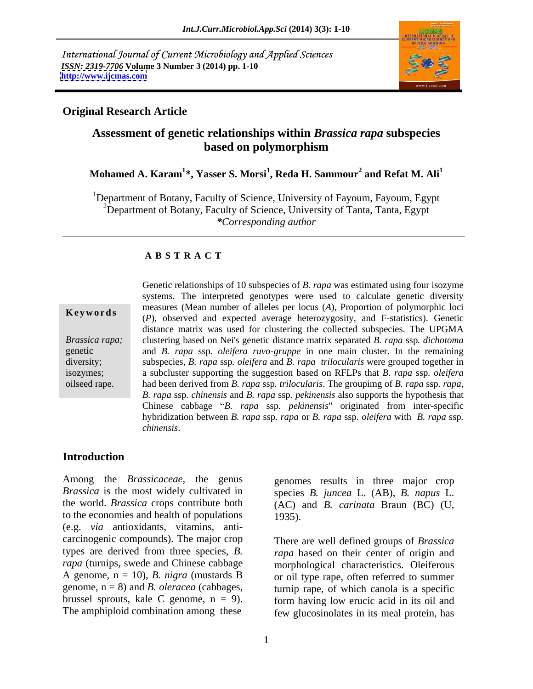International Journal of Current Microbiology and Applied Sciences *ISSN: 2319-7706* **Volume 3 Number 3 (2014) pp. 1-10 <http://www.ijcmas.com>**



### **Original Research Article**

### **Assessment of genetic relationships within** *Brassica rapa* **subspecies based on polymorphism**

### **Mohamed A. Karam<sup>1</sup> \*, Yasser S. Morsi<sup>1</sup> , Reda H. Sammour<sup>2</sup>** and Refat M.  $\text{Ali}^1$

<sup>1</sup>Department of Botany, Faculty of Science, University of Fayoum, Fayoum, Egypt <sup>2</sup>Department of Botany, Faculty of Science, University of Tanta, Tanta, Egypt *\*Corresponding author*

### **A B S T R A C T**

**Keywords** (*P*), observed and expected average heterozygosity, and F-statistics). Genetic *Brassica rapa;* clustering based on Nei's genetic distancematrix separated *B. rapa* ssp*. dichotoma* genetic and *B. rapa* ssp*. oleifera ruvo-gruppe* in one main cluster. In the remaining diversity; subspecies, *B. rapa* ssp*. oleifera* and *B. rapa trilocularis* were grouped together in isozymes; a subcluster supporting the suggestion based on RFLPs that *B. rapa* ssp*. oleifera* oilseed rape. had been derived from *B. rapa* ssp*. trilocularis*. The groupimg of *B. rapa* ssp*. rapa,*  Genetic relationships of 10 subspecies of *B. rapa* was estimated using four isozyme systems. The interpreted genotypes were used to calculate genetic diversity measures (Mean number of alleles per locus (*A*), Proportion of polymorphic loci distance matrix was used for clustering the collected subspecies. The UPGMA *B. rapa* ssp*. chinensis* and *B. rapa* ssp*. pekinensis* also supports the hypothesis that Chinese cabbage *B. rapa* ssp*. pekinensis*" originated from inter-specific hybridization between *B. rapa* ssp*. rapa* or *B. rapa* ssp*. oleifera* with *B. rapa* ssp*. chinensis*.

### **Introduction**

Among the *Brassicaceae*, the genus genomes results in three major crop *Brassica* is the most widely cultivated in species *B. juncea* L. (AB), *B. napus* L. the world. *Brassica* crops contribute both (AC) and *B. carinata* Braun (BC) (U, to the economies and health of populations (e.g. *via* antioxidants, vitamins, anti carcinogenic compounds). The major crop types are derived from three species, *B. rapa* based on their center of origin and *rapa* (turnips, swede and Chinese cabbage morphological characteristics. Oleiferous A genome, n = 10), *B. nigra* (mustards B or oil type rape, often referred to summer genome,  $n = 8$ ) and *B. oleracea* (cabbages, turnip rape, of which canola is a specific brussel sprouts, kale C genome,  $n = 9$ . form having low erucic acid in its oil and

1935).

The amphiploid combination among these few glucosinolates in its meal protein, has There are well defined groups of *Brassica*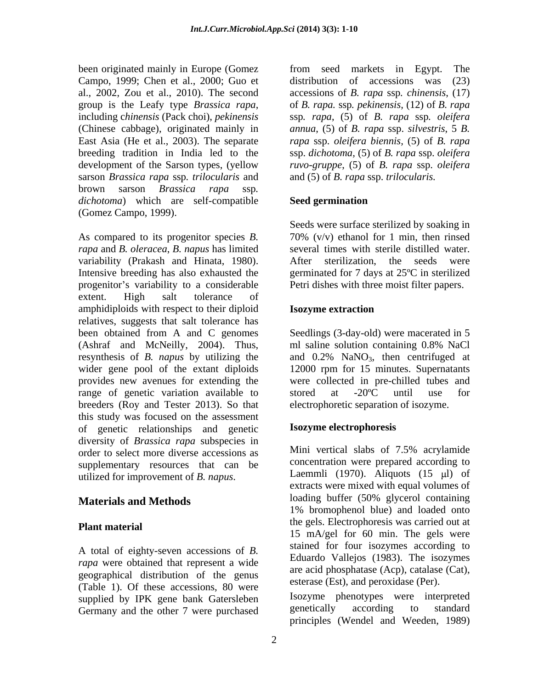been originated mainly in Europe (Gomez from seed markets in Egypt. The Campo, 1999; Chen et al., 2000; Guo et sarson *Brassica rapa* ssp*. trilocularis* and brown sarson *Brassica rapa* ssp*. dichotoma*) which are self-compatible (Gomez Campo, 1999).

As compared to its progenitor species *B. rapa* and *B. oleracea*, *B. napus* has limited variability (Prakash and Hinata, 1980). After sterilization, the seeds were<br>Intensive breeding has also exhausted the germinated for 7 days at 25°C in sterilized progenitor's variability to a considerable extent. High salt tolerance of amphidiploids with respect to their diploid **Isozyme extraction** relatives, suggests that salt tolerance has been obtained from A and C genomes Seedlings (3-day-old) were macerated in 5 (Ashraf and McNeilly, 2004). Thus, resynthesis of *B. napus* by utilizing the  $\qquad$  and  $0.2\%$  NaNO<sub>3</sub>, then centrifuged at wider gene pool of the extant diploids 12000 rpm for 15 minutes. Supernatants provides new avenues for extending the range of genetic variation available to stored at  $-20^{\circ}$ C until use for breeders (Roy and Tester 2013). So that this study was focused on the assessment of genetic relationships and genetic diversity of *Brassica rapa* subspecies in<br>order to select more diverse accessions as Mini vertical slabs of 7.5% acrylamide order to select more diverse accessions as supplementary resources that can be utilized for improvement of *B. napus*.

A total of eighty-seven accessions of *B. rapa* were obtained that represent a wide geographical distribution of the genus (Table 1). Of these accessions, 80 were supplied by IPK gene bank Gatersleben<br>
Germany and the other 7 were purchased<br>
genetically according to standard Germany and the other 7 were purchased

al., 2002, Zou et al., 2010).The second accessions of *B. rapa* ssp*. chinensis*, (17) group is the Leafy type *Brassica rapa*, of *B. rapa.* ssp. *pekinensis*, (12) of *B. rapa* including *chinensis* (Pack choi), *pekinensis* ssp. *rapa*, (5) of *B. rapa* ssp. *oleifera* (Chinese cabbage), originated mainly in *annua*, (5) of *B. rapa* ssp. *silvestris*, 5 *B.*  East Asia (He et al., 2003). The separate *rapa* ssp. *oleifera biennis,* (5) of *B. rapa* breeding tradition in India led to the ssp. *dichotoma,* (5) of *B. rapa* ssp. *oleifera*  development of the Sarson types, (yellow *ruvo-gruppe*, (5) of *B. rapa* ssp. *oleifera*  from seed markets in Egypt. The distribution of accessions was (23) of *B. rapa.* ssp*. pekinensis,* (12) of *B. rapa* ssp*. rapa*, (5) of *B. rapa* ssp*. oleifera* and (5) of *B. rapa* ssp. *trilocularis.*

### **Seed germination**

Seeds were surface sterilized by soaking in 70% (v/v) ethanol for 1 min, then rinsed several times with sterile distilled water. After sterilization, the seeds were germinated for 7 days at 25ºC in sterilized Petri dishes with three moist filter papers.

### **Isozyme extraction**

ml saline solution containing 0.8% NaCl were collected in pre-chilled tubes and stored at -20ºC until use for electrophoretic separation of isozyme.

### **Isozyme electrophoresis**

**Materials and Methods loading buffer (50% glycerol containing Materials and Methods Plant material Plant material 15** mA/gel for 60 min. The gels were Mini vertical slabs of 7.5% acrylamide concentration were prepared according to Laemmli (1970). Aliquots (15  $\mu$ l) of extracts were mixed with equal volumes of 1% bromophenol blue) and loaded onto the gels. Electrophoresis was carried out at stained for four isozymes according to Eduardo Vallejos (1983). The isozymes are acid phosphatase (Acp), catalase (Cat), esterase (Est), and peroxidase (Per).

> Isozyme phenotypes were interpreted genetically according to standard principles (Wendel and Weeden, 1989)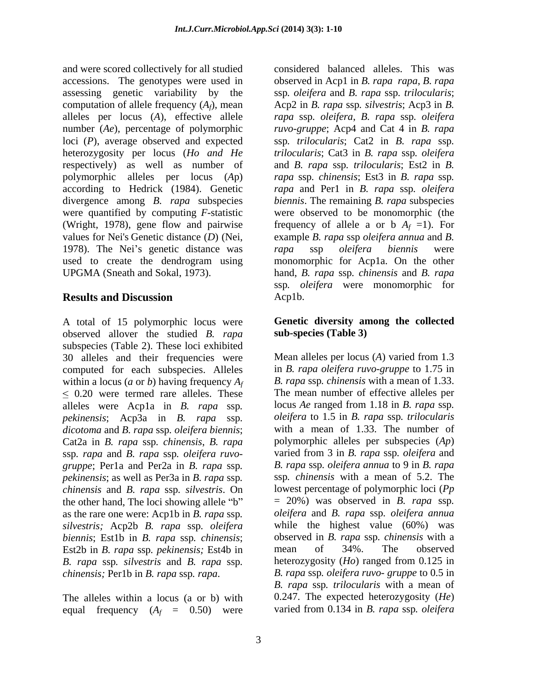and were scored collectively for all studied considered balanced alleles. This was accessions. The genotypes were used in observed in Acp1 in *B. rapa rapa*, *B. rapa*  assessing genetic variability by the ssp*. oleifera* and *B. rapa* ssp*. trilocularis*; computation of allele frequency (*Af*), mean Acp2 in *B. rapa* ssp*. silvestris*; Acp3 in *B.*  alleles per locus (*A*), effective allele *rapa* ssp*. oleifera*, *B. rapa* ssp*. oleifera* number (*Ae*), percentage of polymorphic *ruvo-gruppe*; Acp4 and Cat 4 in *B. rapa* loci (*P*), average observed and expected ssp. *trilocularis*; Cat2 in *B. rapa* ssp. heterozygosity per locus (*Ho and He* respectively) as well as number of and *B. rapa* ssp*. trilocularis*; Est2 in *B.*  polymorphic alleles per locus (*A*p) according to Hedrick (1984). Genetic rapa and Perl in B. rapa ssp. oleifera divergence among *B. rapa* subspecies *biennis*. The remaining *B. rapa* subspecies were quantified by computing *F*-statistic (Wright, 1978), gene flow and pairwise values for Nei's Genetic distance  $(D)$  (Nei, values for Nei's Genetic distance (*D*) (Nei, example *B. rapa* ssp *oleifera annua* and *B.*  1978). The Nei's genetic distance was rapa ssp oleifera biennis were used to create the dendrogram using monomorphic for Acp1a. On the other UPGMA (Sneath and Sokal, 1973). hand, *B. rapa* ssp*. chinensis* and *B. rapa*

A total of 15 polymorphic locus were observed allover the studied *B. rapa* subspecies (Table 2). These loci exhibited 30 alleles and their frequencies were computed for each subspecies. Alleles within a locus (*a* or *b*) having frequency *Af*  $\leq$  0.20 were termed rare alleles. These alleles were Acp1a in *B. rapa* ssp*. pekinensis*; Acp3a in *B. rapa* ssp*. dicotoma* and *B. rapa* ssp*. oleifera biennis*; Cat2a in *B. rapa* ssp*. chinensis*, *B. rapa* ssp*. rapa* and *B. rapa* ssp*. oleifera ruvo gruppe*; Per1a and Per2a in *B. rapa* ssp. <br>*B. rapa* ssp. *oleifera annua* to 9 in *B. rapa*<br>*gekinensis*; as well as Per3a in *B. rapa* ssp. silvestris. On lowest percentage of polymorphic loci (*Pp*<br>*chinensis* and *B.* the other hand, The loci showing allele "b"  $= 20\%$ ) was observed in *B. rapa* ssp.<br>as the rare one were: Acp1b in *B. rapa* ssp. *oleifera* and *B. rapa* ssp. *oleifera annua* as the rare one were: Acp1b in *B. rapa* ssp*. silvestris;* Acp2b *B. rapa* ssp*. oleifera biennis*; Est1b in *B. rapa* ssp. *chinensis*; bbserved in *B. rapa* ssp. *chinensis* with a<br>Est2b in *B. rapa* ssp. *pekinensis*: Est4b in a mean of 34%. The observed Est2b in *B. rapa* ssp*. pekinensis;* Est4b in *B. rapa* ssp. *silvestris* and *B. rapa* ssp. heterozygosity (*Ho*) ranged from 0.125 in *chinensis;* Per1b in *B. rapa* ssp. *rapa*. *B. rapa* ssp. *oleifera ruvo- gruppe* to 0.5 in

The alleles within a locus (a or b) with equal frequency  $(A_f = 0.50)$  were

**Results and Discussion** ssp*. trilocularis*; Cat2 in *B. rapa* ssp*. trilocularis*; Cat3 in *B.rapa* ssp*. oleifera rapa* ssp*. chinensis*; Est3 in *B.rapa* ssp*. rapa* and Per1 in *B. rapa* ssp*. oleifera* were observed to be monomorphic (the frequency of allele a or b  $A_f = 1$ ). For *rapa* ssp *oleifera biennis* were ssp. *oleifera* were monomorphic for Acp1b.

### **Genetic diversity among the collected sub-species (Table 3)**

Mean alleles per locus (*A*) varied from 1.3 in *B. rapa oleifera ruvo-gruppe* to 1.75 in *B. rapa* ssp*. chinensis* with a mean of 1.33. The mean number of effective alleles per locus *Ae* ranged from 1.18 in *B. rapa* ssp*. oleifera* to 1.5 in *B. rapa* ssp*. trilocularis*  with a mean of 1.33. The number of polymorphic alleles per subspecies (*Ap*) varied from 3 in *B. rapa* ssp*. oleifera* and *B. rapa* ssp*. oleifera annua* to 9 in *B. rapa* ssp*. chinensis* with a mean of 5.2. The lowest percentage of polymorphic loci (*Pp* <sup>=</sup> 20%) was observed in *B. rapa* ssp*. oleifera* and *B. rapa* ssp*. oleifera annua* while the highest value (60%) was observed in *B. rapa* ssp*. chinensis* with a mean of 34%. The observed heterozygosity (*Ho*) ranged from 0.125 in *B. rapa* ssp*. oleifera ruvo- gruppe* to 0.5 in *B. rapa* ssp*. trilocularis* with a mean of 0.247. The expected heterozygosity (*He*) varied from 0.134 in *B. rapa* ssp*. oleifera*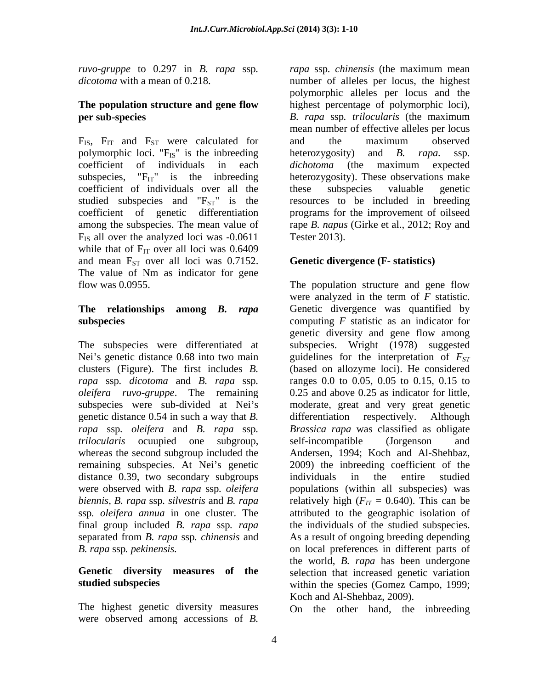# **per sub-species** B. rapa ssp. *trilocularis* (the maximum

 $F_{IS}$ ,  $F_{IT}$  and  $F_{ST}$  were calculated for and the maximum observed polymorphic loci. " $F_{IS}$ " is the inbreeding heterozygosity) and B. rapa. ssp. coefficient of individuals over all the  $F_{IS}$  all over the analyzed loci was  $-0.0611$  Tester 2013). while that of  $F_{IT}$  over all loci was 0.6409 and mean  $F_{ST}$  over all loci was 0.7152. The value of Nm as indicator for gene

clusters (Figure). The first includes *B.*  genetic distance 0.54 in such a way that *B.*  whereas the second subgroup included the Andersen, 1994; Koch and Al-Shehbaz, remaining subspecies. At Nei's genetic 2009) the inbreeding coefficient of the distance 0.39, two secondary subgroups individuals in the entire studied

The highest genetic diversity measures were observed among accessions of *B.* 

*ruvo-gruppe* to 0.297 in *B. rapa* ssp. *rapa* ssp. *chinensis* (the maximum mean *dicotoma* with a mean of 0.218. **number** of alleles per locus, the highest **The population structure and gene flow** highest percentage of polymorphic loci), coefficient of individuals in each *dichotoma* (the maximum expected subspecies,  $F_{IT}$  is the inbreeding heterozygosity). These observations make studied subspecies and  $F_{ST}$ " is the resources to be included in breeding coefficient of genetic differentiation programs for the improvement of oilseed among the subspecies. The mean value of rape *B. napus* (Girke et al., 2012; Roy and *rapa* ssp*. chinensis* (the maximum mean number of alleles per locus, the highest polymorphic alleles per locus and the *B. rapa* ssp*. trilocularis* (the maximum mean number of effective alleles per locus and the maximum observed heterozygosity) and *B. rapa.* ssp*. dichotoma* (the maximum expected these subspecies valuable genetic Tester 2013).

## **Genetic divergence (F- statistics)**

flow was 0.0955. The population structure and gene flow **The relationships among** *B. rapa* Genetic divergence was quantified by **subspecies** computing *F* statistic as an indicator for The subspecies were differentiated at subspecies. Wright (1978) suggested Nei's genetic distance 0.68 into two main guidelines for the interpretation of  $F_{ST}$ *rapa* ssp. *dicotoma* and *B. rapa* ssp. *ranges* 0.0 to 0.05, 0.05 to 0.15, 0.15 to *oleifera ruvo-gruppe*. The remaining 0.25 and above 0.25 as indicator for little, subspecies were sub-divided at Nei's moderate, great and very great genetic *rapa* ssp*. oleifera* and *B. rapa* ssp*. trilocularis* ocuupied one subgroup, were observed with *B. rapa* ssp. *oleifera* populations (within all subspecies) was *biennis, B. rapa* ssp. *silvestris* and *B. rapa* relatively high ( $F_{IT}$  = 0.640). This can be ssp*. oleifera annua* in one cluster. The attributed to the geographic isolation of final group included *B. rapa* ssp*. rapa* the individuals of the studied subspecies. separated from *B. rapa* ssp*. chinensis* and As a result of ongoing breeding depending *B. rapa* ssp*. pekinensis.*  on local preferences in different parts of **Genetic diversity measures of the** selection that increased genetic variation **studied subspecies** within the species (Gomez Campo, 1999; were analyzed in the term of *F* statistic. genetic diversity and gene flow among (based on allozyme loci). He considered ranges 0.0 to 0.05, 0.05 to 0.15, 0.15 to 0.25 and above 0.25 as indicator for little, differentiation respectively. *Brassica rapa* was classified as obligate self-incompatible (Jorgenson and Andersen, 1994; Koch and Al-Shehbaz, 2009) the inbreeding coefficient of the individuals in the entire studied the world, *B. rapa* has been undergone Koch and Al-Shehbaz, 2009).

On the other hand, the inbreeding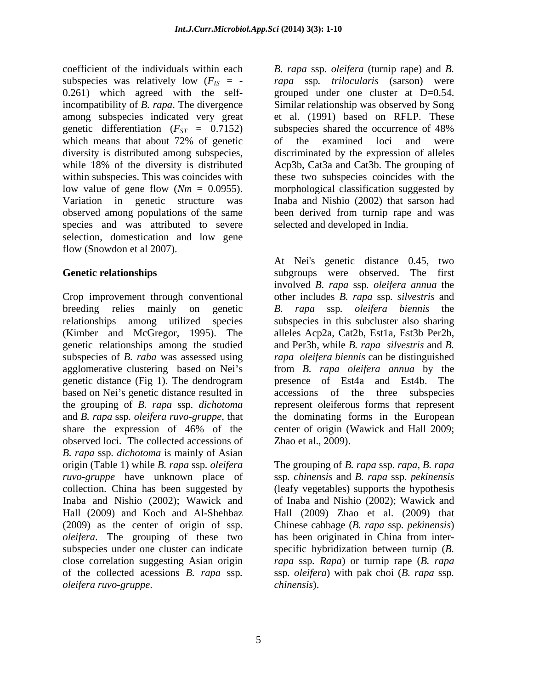subspecies was relatively low  $(F_{IS} = -$ 0.261) which agreed with the selfincompatibility of *B. rapa*. The divergence Similar relationship was observed by Song among subspecies indicated very great et al. (1991) based on RFLP. These genetic differentiation  $(F_{ST} = 0.7152)$  subspecies shared the occurrence of 48% which means that about 72% of genetic of the examined loci and were which means that about 72% of genetic of the examined loci and were diversity is distributed among subspecies, discriminated by the expression of alleles while 18% of the diversity is distributed Acp3b, Cat3a and Cat3b. The grouping of within subspecies. This was coincides with these two subspecies coincides with the low value of gene flow (*Nm* = 0.0955). morphological classification suggested by Variation in genetic structure was Inaba and Nishio (2002) that sarson had observed among populations of the same been derived from turnip rape and was species and was attributed to severe selection, domestication and low gene flow (Snowdon et al 2007).

Crop improvement through conventional other includes *B. rapa* ssp*. silvestris* and breeding relies mainly on genetic *B. rapa* ssp*. oleifera biennis* the relationships among utilized species subspecies in this subcluster also sharing (Kimber and McGregor, 1995). The alleles Acp2a, Cat2b, Est1a, Est3b Per2b, genetic relationships among the studied and Per3b, while *B. rapa silvestris* and *B.*  subspecies of *B. raba* was assessed using *rapa oleifera biennis* can be distinguished agglomerative clustering based on Nei's genetic distance (Fig 1). The dendrogram presence of Est4a and Est4b. The based on Nei's genetic distance resulted in accessions of the three subspecies the grouping of *B. rapa* ssp*. dichotoma* represent oleiferous forms that represent and *B. rapa* ssp*. oleifera ruvo-gruppe*, that the dominating forms in the European share the expression of 46% of the center of origin (Wawick and Hall 2009; observed loci. The collected accessions of *B. rapa* ssp*. dichotoma* is mainly of Asian origin (Table 1) while *B. rapa* ssp*. oleifera*  The grouping of *B. rapa* ssp*. rapa, B. rapa ruvo-gruppe* have unknown place of ssp*. chinensis* and *B. rapa* ssp*. pekinensis* collection. China has been suggested by (leafy vegetables) supports the hypothesis Inaba and Nishio (2002); Wawick and of Inaba and Nishio (2002); Wawick and Hall (2009) and Koch and Al-Shehbaz Hall (2009) Zhao et al. (2009) that (2009) as the center of origin of ssp. Chinese cabbage (*B. rapa* ssp*. pekinensis*) *oleifera*. The grouping of these two has been originated in China from intersubspecies under one cluster can indicate close correlation suggesting Asian origin *rapa* ssp*. Rapa*) or turnip rape (*B. rapa* coefficient of the initiality aces and  $B$ . *rapa* ssp. of  $\log$  of the collected with the collected with the collected with the collected with the collected with the collected with the collected in the collected acession

coefficient of the individuals within each B. rapa ssp. oleifera (turnip rape) and B. *rapa* ssp*. trilocularis* (sarson) were grouped under one cluster at D=0.54. subspecies shared the occurrence of 48% of the examined loci and were selected and developed in India.

**Genetic relationships** subgroups were observed. The first At Nei's genetic distance 0.45, two involved *B. rapa* ssp*. oleifera annua* the from *B. rapa oleifera annua* by the presence of Est4a and Est4b. The center of origin (Wawick and Hall 2009; Zhao et al., 2009).

> has been originated in China from inter specific hybridization between turnip (*B.*  ssp*. oleifera*) with pak choi (*B. rapa* ssp*. chinensis*).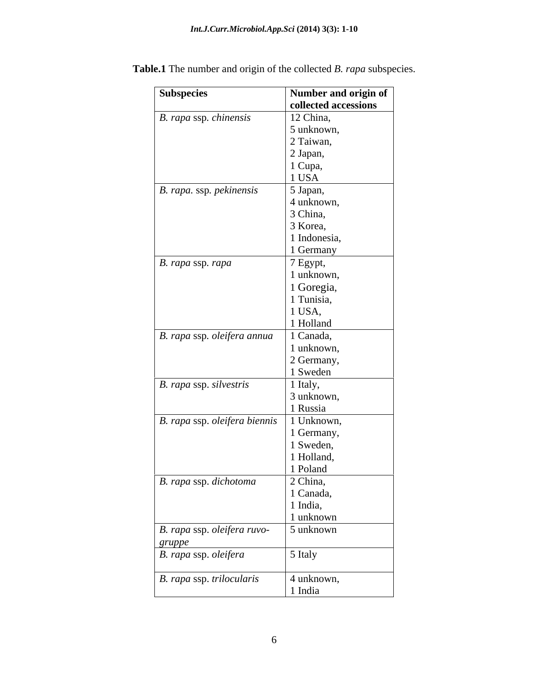| Subspecies                                                                                  | Number and origin of<br>collected accessions |
|---------------------------------------------------------------------------------------------|----------------------------------------------|
| $\overline{B}$ . rapa ssp. chinensis                                                        | 12 China,                                    |
|                                                                                             | $\frac{1}{2}$ unknown,                       |
|                                                                                             | 2 Taiwan,                                    |
|                                                                                             | 2 Japan,                                     |
|                                                                                             | 1 Cupa,                                      |
|                                                                                             | 1 USA                                        |
| B. rapa. ssp. pekinensis                                                                    | 5 Japan,                                     |
|                                                                                             | 4 unknown,                                   |
|                                                                                             | 3 China,                                     |
|                                                                                             | 3 Korea,                                     |
|                                                                                             | 1 Indonesia,                                 |
|                                                                                             | 1 Germany                                    |
| B. rapa ssp. rapa                                                                           | $7$ Egypt,                                   |
|                                                                                             | 1 unknown,                                   |
|                                                                                             | 1 Goregia,                                   |
|                                                                                             | 1 Tunisia,                                   |
|                                                                                             | 1 USA,                                       |
|                                                                                             | 1 Holland                                    |
| B. rapa ssp. oleifera annua                                                                 | 1 Canada,                                    |
|                                                                                             | 1 unknown,                                   |
|                                                                                             | 2 Germany,                                   |
|                                                                                             | 1 Sweden                                     |
| B. rapa ssp. silvestris                                                                     | 1 Italy,                                     |
|                                                                                             | 3 unknown,                                   |
|                                                                                             | 1 Russia                                     |
| B. rapa ssp. oleifera biennis                                                               | 1 Unknown,                                   |
|                                                                                             | 1 Germany,                                   |
|                                                                                             | 1 Sweden,                                    |
|                                                                                             | 1 Holland,                                   |
|                                                                                             | 1 Poland                                     |
| B. rapa ssp. dichotoma                                                                      | 2 China,                                     |
|                                                                                             | 1 Canada,                                    |
|                                                                                             | 1 India,                                     |
|                                                                                             | 1 unknown                                    |
| B. rapa ssp. oleifera ruvo-                                                                 | $\frac{1}{2}$ unknown                        |
|                                                                                             |                                              |
| $\begin{array}{ l } \hline \text{gruppe} \ \hline \text{B. rapa ssp. oleifera} \end{array}$ | 5 Italy                                      |
|                                                                                             |                                              |
| B. rapa ssp. trilocularis                                                                   | 4 unknown,                                   |
|                                                                                             | 1 India                                      |

**Table.1** The number and origin of the collected *B. rapa* subspecies.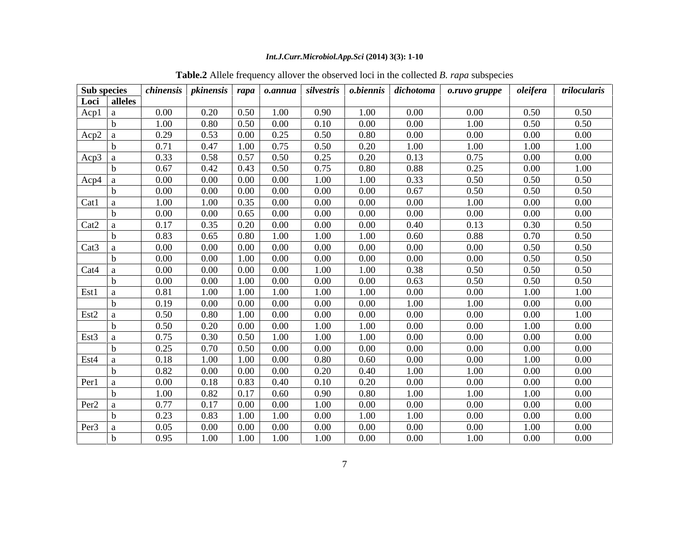### *Int.J.Curr.Microbiol.App.Sci* **(2014) 3(3): 1-10**

| Sub species      |              |          |          |          |          |          |          | chinensis   pkinensis   rapa   o.annua   silvestris   o.biennis   dichotoma | o.ruvo gruppe | oleifera | trilocularis |
|------------------|--------------|----------|----------|----------|----------|----------|----------|-----------------------------------------------------------------------------|---------------|----------|--------------|
|                  | Loci alleles |          |          |          |          |          |          |                                                                             |               |          |              |
| $Acp1$ a         |              | $0.00\,$ | 0.20     | 0.50     | 1.00     | 0.90     | 1.00     | $0.00\,$                                                                    | $0.00\,$      | 0.50     | 0.50         |
|                  |              | 1.00     | 0.80     | $0.50\,$ | $0.00\,$ | 0.10     | $0.00\,$ | $0.00\,$                                                                    | 1.00          | 0.50     | 0.50         |
| Acp2 a           |              | 0.29     | 0.53     | $0.00\,$ | 0.25     | 0.50     | 0.80     | $0.00\,$                                                                    | $0.00\,$      | $0.00\,$ | $0.00\,$     |
|                  |              | 0.71     | 0.47     | 1.00     | 0.75     | 0.50     | 0.20     | 1.00                                                                        | 1.00          | 1.00     | 1.00         |
| Acp3 a           |              | 0.33     | 0.58     | 0.57     | 0.50     | 0.25     | 0.20     | 0.13                                                                        | 0.75          | $0.00\,$ | $0.00\,$     |
|                  |              | 0.67     | 0.42     | 0.43     | 0.50     | 0.75     | 0.80     | 0.88                                                                        | 0.25          | $0.00\,$ | 1.00         |
| Acp4             |              | $0.00\,$ | $0.00\,$ | $0.00\,$ | $0.00\,$ | 1.00     | 1.00     | 0.33                                                                        | 0.50          | 0.50     | 0.50         |
|                  |              | $0.00\,$ | $0.00\,$ | $0.00\,$ | $0.00\,$ | $0.00\,$ | $0.00\,$ | 0.67                                                                        | 0.50          | 0.50     | 0.50         |
| $Cat1 \mid a$    |              | 1.00     | 1.00     | 0.35     | $0.00\,$ | $0.00\,$ | $0.00\,$ | $0.00\,$                                                                    | 1.00          | $0.00\,$ | $0.00\,$     |
|                  |              | $0.00\,$ | $0.00\,$ | 0.65     | $0.00\,$ | $0.00\,$ | $0.00\,$ | $0.00\,$                                                                    | $0.00\,$      | $0.00\,$ | $0.00\,$     |
| Cat <sub>2</sub> |              | 0.17     | 0.35     | 0.20     | $0.00\,$ | $0.00\,$ | $0.00\,$ | 0.40                                                                        | 0.13          | 0.30     | 0.50         |
|                  |              | 0.83     | 0.65     | 0.80     | 1.00     | 1.00     | 1.00     | 0.60                                                                        | 0.88          | 0.70     | 0.50         |
| Cat3             |              | $0.00\,$ | $0.00\,$ | $0.00\,$ | $0.00\,$ | $0.00\,$ | $0.00\,$ | $0.00\,$                                                                    | $0.00\,$      | 0.50     | 0.50         |
|                  |              | $0.00\,$ | $0.00\,$ | 1.00     | $0.00\,$ | $0.00\,$ | $0.00\,$ | $0.00\,$                                                                    | $0.00\,$      | 0.50     | 0.50         |
| Cat4             |              | $0.00\,$ | $0.00\,$ | $0.00\,$ | $0.00\,$ | 1.00     | 1.00     | 0.38                                                                        | 0.50          | 0.50     | 0.50         |
|                  |              | $0.00\,$ | $0.00\,$ | 1.00     | $0.00\,$ | $0.00\,$ | $0.00\,$ | 0.63                                                                        | 0.50          | 0.50     | 0.50         |
| Est1             |              | 0.81     | 1.00     | 1.00     | 1.00     | 1.00     | 1.00     | $0.00\,$                                                                    | $0.00\,$      | 1.00     | 1.00         |
|                  |              | 0.19     | $0.00\,$ | $0.00\,$ | $0.00\,$ | $0.00\,$ | $0.00\,$ | 1.00                                                                        | 1.00          | $0.00\,$ | $0.00\,$     |
| Est2             |              | 0.50     | 0.80     | 1.00     | $0.00\,$ | $0.00\,$ | $0.00\,$ | $0.00\,$                                                                    | $0.00\,$      | $0.00\,$ | 1.00         |
|                  |              | 0.50     | 0.20     | $0.00\,$ | $0.00\,$ | 1.00     | 1.00     | $0.00\,$                                                                    | $0.00\,$      | 1.00     | $0.00\,$     |
| $Est3 \mid a$    |              | 0.75     | 0.30     | 0.50     | 1.00     | 1.00     | 1.00     | $0.00\,$                                                                    | $0.00\,$      | $0.00\,$ | $0.00\,$     |
|                  |              | 0.25     | 0.70     | 0.50     | $0.00\,$ | $0.00\,$ | $0.00\,$ | $0.00\,$                                                                    | $0.00\,$      | $0.00\,$ | $0.00\,$     |
| Est4             |              | 0.18     | 1.00     | 1.00     | $0.00\,$ | 0.80     | 0.60     | $0.00\,$                                                                    | $0.00\,$      | 1.00     | $0.00\,$     |
|                  |              | 0.82     | $0.00\,$ | $0.00\,$ | $0.00\,$ | 0.20     | 0.40     | 1.00                                                                        | 1.00          | $0.00\,$ | $0.00\,$     |
| Per1             |              | $0.00\,$ | 0.18     | 0.83     | 0.40     | 0.10     | 0.20     | $0.00\,$                                                                    | $0.00\,$      | $0.00\,$ | $0.00\,$     |
|                  |              | 1.00     | 0.82     | 0.17     | 0.60     | 0.90     | 0.80     | 1.00                                                                        | 1.00          | 1.00     | $0.00\,$     |
| Per <sup>2</sup> |              | 0.77     | 0.17     | $0.00\,$ | $0.00\,$ | 1.00     | $0.00\,$ | $0.00\,$                                                                    | $0.00\,$      | $0.00\,$ | $0.00\,$     |
|                  |              | 0.23     | 0.83     | 1.00     | 1.00     | $0.00\,$ | 1.00     | 1.00                                                                        | $0.00\,$      | $0.00\,$ | $0.00\,$     |
| Per <sub>3</sub> |              | 0.05     | $0.00\,$ | $0.00\,$ | $0.00\,$ | $0.00\,$ | $0.00\,$ | $0.00\,$                                                                    | $0.00\,$      | 1.00     | $0.00\,$     |
|                  |              | 0.95     | 1.00     | 1.00     | 1.00     | $1.00\,$ | 0.00     | $0.00\,$                                                                    | 1.00          | $0.00\,$ | $0.00\,$     |
|                  |              |          |          |          |          |          |          |                                                                             |               |          |              |

**Table.2** Allele frequency allover the observed loci in the collected *B. rapa* subspecies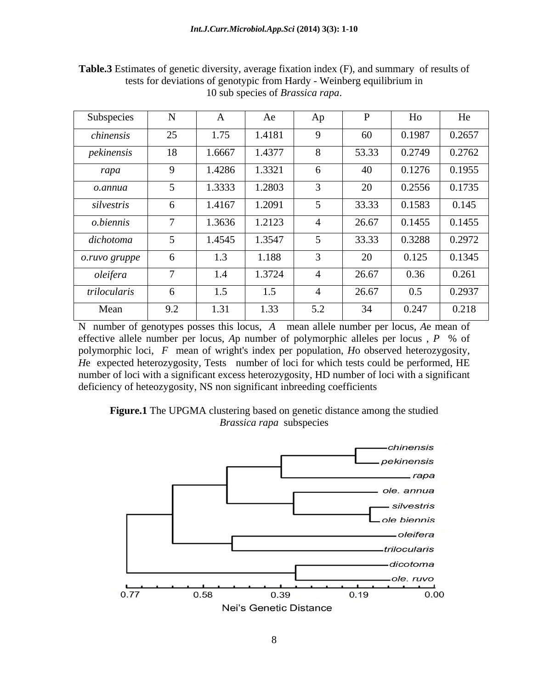| Subspecies    | <b>B</b> T<br>T.        |                        | Ae     | Ap  |       | Ho     | He     |
|---------------|-------------------------|------------------------|--------|-----|-------|--------|--------|
| chinensis     | $\cap$<br>$\mathcal{L}$ | $\overline{a}$<br>1.75 | 1.4181 |     | 60    | 0.1987 | 0.2657 |
| pekinensis    | 18                      | 1.6667                 | 1.4377 |     | 53.33 | 0.2749 | 0.2762 |
| rapa          |                         | 1.4286                 | 1.3321 |     | 40    | 0.1276 | 0.1955 |
| o.annua       |                         | 1.3333                 | 1.2803 |     | 20    | 0.2556 | 0.1735 |
| silvestris    |                         | 1.4167                 | 1.2091 |     | 33.33 | 0.1583 | 0.145  |
| o.biennis     |                         | 1.3636                 | 1.2123 |     | 26.67 | 0.1455 | 0.1455 |
| dichotoma     |                         | 1.4545                 | 1.3547 |     | 33.33 | 0.3288 | 0.2972 |
| o.ruvo gruppe |                         | - 1.                   | 1.188  |     | 20    | 0.125  | 0.1345 |
| oleifera      |                         | -1.4                   | 1.3724 |     | 26.67 | 0.36   | 0.261  |
| trilocularis  |                         | - 1.                   | 1.5    |     | 26.67 | 0.5    | 0.2937 |
| Mean          | 9.2                     | 1.JI                   | 1.33   | 5.2 | 34    | 0.247  | 0.218  |

**Table.3** Estimates of genetic diversity, average fixation index (F), and summary of results of tests for deviations of genotypic from Hardy - Weinberg equilibrium in 10 sub species of *Brassica rapa*.

N number of genotypes posses this locus, *A* mean allele number per locus, *A*e mean of effective allele number per locus, *A*p number of polymorphic alleles per locus , *P* % of polymorphic loci, *F* mean of wright's index per population, *H*o observed heterozygosity, *He* expected heterozygosity, Tests number of loci for which tests could be performed, HE number of loci with a significant excess heterozygosity, HD number of loci with a significant deficiency of heteozygosity, NS non significant inbreeding coefficients



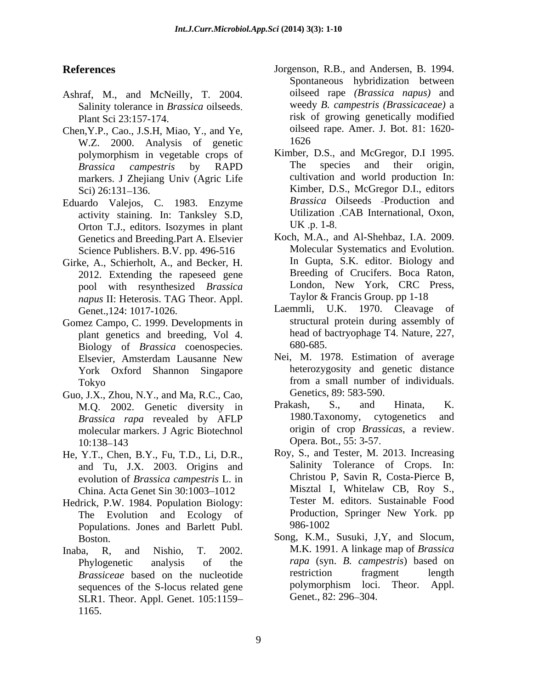- Ashraf, M., and McNeilly, T. 2004. Salinity tolerance in *Brassica* oilseeds
- Chen, Y.P., Cao., J.S.H, Miao, Y., and Ye,<br>W.Z. 2000 Analysis of genetic 1626 W.Z. 2000. Analysis of genetic markers. J Zhejiang Univ (Agric Life
- Eduardo Valejos, C. 1983. Enzyme activity staining. In: Tanksley S.D, Utilization<br>Orton T.J. editors. Isozymes in plant UK .p. 1-8. Orton T.J., editors. Isozymes in plant Genetics and Breeding.Part A. Elsevier Science Publishers. B.V. pp. 496-516
- pool with resynthesized *Brassica napus* II: Heterosis. TAG Theor. Appl.
- Gomez Campo, C. 1999. Developments in plant genetics and breeding, Vol 4. head of b<br>Biology of *Brassica* coenospecies 680-685. Biology of *Brassica* coenospecies. Elsevier, Amsterdam Lausanne New York Oxford Shannon Singapore
- Guo, J.X., Zhou, N.Y., and Ma, R.C., Cao, Gene<br>M O 2002 Genetic diversity in Prakash, *Brassica rapa* revealed by AFLP molecular markers. J Agric Biotechnol origin of crop *Brass*<br>10.138–143 Opera. Bot., 55: 3-57. 10:138–143 Opera. Bot., 55: 3-57.
- He, Y.T., Chen, B.Y., Fu, T.D., Li, D.R., and Tu, J.X. 2003. Origins and China. Acta Genet Sin 30:1003-1012
- Hedrick, P.W. 1984. Population Biology: The Evolution and Ecology of Production<br>Populations Jones and Barlett Publ Populations. Jones and Barlett Publ.
- sequences of the S-locus related gene bolymorphism loci.<br>SLR1 Theor Appl Genet 105.1159 Genet., 82: 296–304. SLR1. Theor. Appl. Genet. 105:1159 1165.
- **References** Jorgenson, R.B., and Andersen, B. 1994. Plant Sci 23:157-174. risk of growing genetically modified Spontaneous hybridization between oilseed rape *(Brassica napus)* and weedy *B. campestris (Brassicaceae)* a oilseed rape. Amer. J. Bot. 81: 1620- 1626
	- polymorphism in vegetable crops of Kimber, D.S., and McGregor, D.I 1995.<br>*Brassica campestris* by RAPD The species and their origin. *Brassica campestris* by RAPD Sci) 26:131–136. Kimber, D.S., McGregor D.I., editors Kimber, D.S., and McGregor, D.I 1995. The species and their origin, cultivation and world production In: *Brassica* Oilseeds Production and Utilization CAB International, Oxon, UK  $.p. 1-8.$
- Girke, A., Schierholt, A., and Becker, H. In Gupta, S.K. editor. Biology and 2012. Extending the rapeseed gene Breeding of Crucifers. Boca Raton, Koch, M.A., and Al-Shehbaz, I.A. 2009. Molecular Systematics and Evolution. In Gupta, S.K. editor. Biology and Breeding of Crucifers. Boca Raton, London, New York, CRC Press, Taylor & Francis Group. pp 1-18
	- Genet.,124: 1017-1026. Laemmli, U.K. 1970. Cleavage of structural protein during assembly of head of bactryophage T4. Nature*,* 227, 680-685.
	- Tokyo from a small number of individuals. Nei, M. 1978. Estimation of average heterozygosity and genetic distance from a small number of individuals. Genetics, 89: 583-590.
	- M.Q. 2002. Genetic diversity in Prakash, S., and Hinata, K.<br>*Brassica rang* revealed by AFIP 1980. Taxonomy, cytogenetics and Prakash, S., and Hinata, K. 1980.Taxonomy, cytogenetics and origin of crop *Brassicas*, a review Opera. Bot., 55: 3-57.
	- evolution of *Brassica campestris* L. in Christou P, Savin R, Costa-Pierce B, China Acta Genet Sin 30:1003–1012 Misztal I, Whitelaw CB, Roy S., Roy, S., and Tester, M. 2013. Increasing Salinity Tolerance of Crops. In: Christou P, Savin R, Costa-Pierce B, Misztal I, Whitelaw CB, Roy S., Tester M. editors. Sustainable Food Production, Springer New York. pp 986-1002
- Boston. Song, K.M., Susuki, J.Y, and Slocum, Inaba, R, and Nishio, T. 2002. M.K. 1991. A linkage map of Brassica Phylogenetic analysis of the *rapa* (syn. *B. campestris*) based on *Brassiceae* based on the nucleotide absorption the fragment length restriction fragment length sequences of the S-locus related gene polymorphism loci. Theor. Appl. Song, K.M., Susuki, J,Y, and Slocum, M.K. 1991. <sup>A</sup> linkage map of *Brassica*  restriction fragment length polymorphism loci. Theor. Appl. Genet., 82: 296–304.